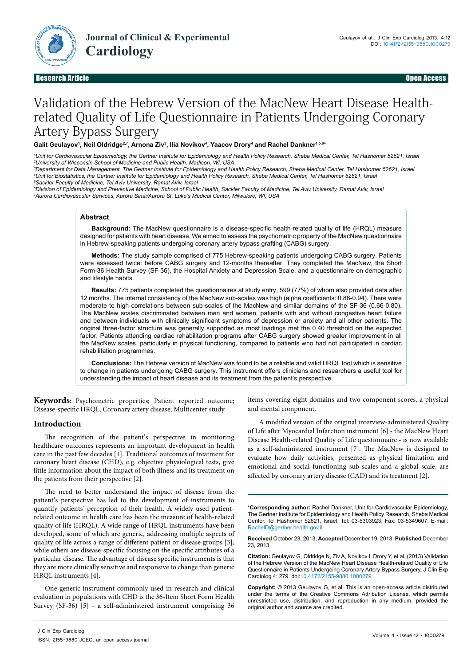

# Validation of the Hebrew Version of the MacNew Heart Disease Healthrelated Quality of Life Questionnaire in Patients Undergoing Coronary Artery Bypass Surgery

Galit Geulayov<sup>1</sup>, Neil Oldridge<sup>2,7</sup>, Arnona Ziv<sup>3</sup>, Ilia Novikov<sup>4</sup>, Yaacov Drory<sup>4</sup> and Rachel Dankner<sup>1,5,6</sup>\*

*1 Unit for Cardiovascular Epidemiology, the Gertner Institute for Epidemiology and Health Policy Research, Sheba Medical Center, Tel Hashomer 52621, Israel 2 University of Wisconsin School of Medicine and Public Health, Madison, WI, USA*

*3 Department for Data Management, The Gertner Institute for Epidemiology and Health Policy Research, Sheba Medical Center, Tel Hashomer 52621, Israel 4 Unit for Biostatistics, the Gertner Institute for Epidemiology and Health Policy Research, Sheba Medical Center, Tel Hashomer 52621, Israel 5 Sackler Faculty of Medicine, Tel Aviv University, Ramat Aviv, Israel*

*6 Division of Epidemiology and Preventive Medicine, School of Public Health, Sackler Faculty of Medicine, Tel Aviv University, Ramat Aviv, Israel 7 Aurora Cardiovascular Services, Aurora Sinai/Aurora St. Luke's Medical Center, Milwukee, WI, USA*

## **Abstract**

**Background:** The MacNew questionnaire is a disease-specific health-related quality of life (HRQL) measure designed for patients with heart disease. We aimed to assess the psychometric property of the MacNew questionnaire in Hebrew-speaking patients undergoing coronary artery bypass grafting (CABG) surgery.

**Methods:** The study sample comprised of 775 Hebrew-speaking patients undergoing CABG surgery. Patients were assessed twice: before CABG surgery and 12-months thereafter. They completed the MacNew, the Short Form-36 Health Survey (SF-36), the Hospital Anxiety and Depression Scale, and a questionnaire on demographic and lifestyle habits.

**Results:** 775 patients completed the questionnaires at study entry, 599 (77%) of whom also provided data after 12 months. The internal consistency of the MacNew sub-scales was high (alpha coefficients: 0.88-0.94). There were moderate to high correlations between sub-scales of the MacNew and similar domains of the SF-36 (0.66-0.80). The MacNew scales discriminated between men and women, patients with and without congestive heart failure and between individuals with clinically significant symptoms of depression or anxiety and all other patients. The original three-factor structure was generally supported as most loadings met the 0.40 threshold on the expected factor. Patients attending cardiac rehabilitation programs after CABG surgery showed greater improvement in all the MacNew scales, particularly in physical functioning, compared to patients who had not participated in cardiac rehabilitation programmes.

**Conclusions:** The Hebrew version of MacNew was found to be a reliable and valid HRQL tool which is sensitive to change in patients undergoing CABG surgery. This instrument offers clinicians and researchers a useful tool for understanding the impact of heart disease and its treatment from the patient's perspective.

**Keywords:** Psychometric properties; Patient reported outcome; Disease-specific HRQL; Coronary artery disease; Multicenter study

# **Introduction**

The recognition of the patient's perspective in monitoring healthcare outcomes represents an important development in health care in the past few decades [1]. Traditional outcomes of treatment for coronary heart disease (CHD), e.g. objective physiological tests, give little information about the impact of both illness and its treatment on the patients from their perspective [2].

The need to better understand the impact of disease from the patient's perspective has led to the development of instruments to quantify patients' perception of their health. A widely used patientrelated outcome in health care has been the measure of health-related quality of life (HRQL). A wide range of HRQL instruments have been developed, some of which are generic, addressing multiple aspects of quality of life across a range of different patient or disease groups [3], while others are disease-specific focusing on the specific attributes of a particular disease. The advantage of disease specific instruments is that they are more clinically sensitive and responsive to change than generic HRQL instruments [4].

One generic instrument commonly used in research and clinical evaluation in populations with CHD is the 36-Item Short Form Health Survey (SF-36) [5] - a self-administered instrument comprising 36 items covering eight domains and two component scores, a physical and mental component.

A modified version of the original interview-administered Quality of Life after Myocardial Infarction instrument [6] - the MacNew Heart Disease Health-related Quality of Life questionnaire - is now available as a self-administered instrument [7]. The MacNew is designed to evaluate how daily activities, presented as physical limitation and emotional and social functioning sub-scales and a global scale, are affected by coronary artery disease (CAD) and its treatment [2].

**<sup>\*</sup>Corresponding author:** Rachel Dankner, Unit for Cardiovascular Epidemiology, The Gertner Institute for Epidemiology and Health Policy Research, Sheba Medical Center, Tel Hashomer 52621, Israel, Tel: 03-5303923; Fax: 03-5349607; E-mail: RachelD@gertner.health.gov.il

**Received** October 23, 2013; **Accepted** December 19, 2013; **Published** December 23, 2013

**Citation:** Geulayov G, Oldridge N, Ziv A, Novikov I, Drory Y, et al. (2013) Validation of the Hebrew Version of the MacNew Heart Disease Health-related Quality of Life Questionnaire in Patients Undergoing Coronary Artery Bypass Surgery. J Clin Exp Cardiolog 4: 279. doi:10.4172/2155-9880.1000279

**Copyright:** © 2013 Geulayov G, et al. This is an open-access article distributed under the terms of the Creative Commons Attribution License, which permits unrestricted use, distribution, and reproduction in any medium, provided the original author and source are credited.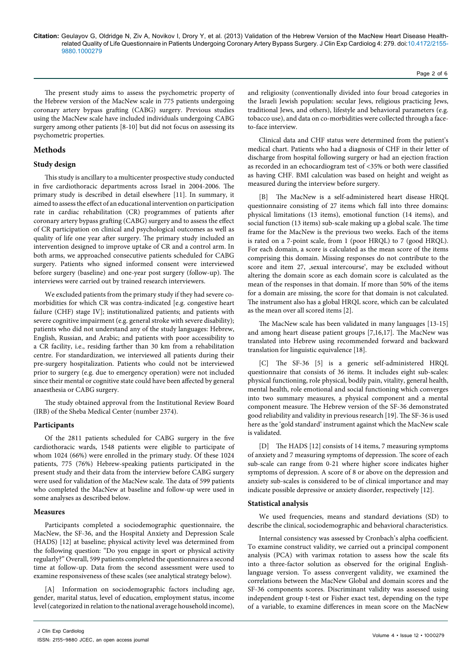The present study aims to assess the psychometric property of the Hebrew version of the MacNew scale in 775 patients undergoing coronary artery bypass grafting (CABG) surgery. Previous studies using the MacNew scale have included individuals undergoing CABG surgery among other patients [8-10] but did not focus on assessing its psychometric properties.

# **Methods**

## **Study design**

This study is ancillary to a multicenter prospective study conducted in five cardiothoracic departments across Israel in 2004-2006. The primary study is described in detail elsewhere [11]. In summary, it aimed to assess the effect of an educational intervention on participation rate in cardiac rehabilitation (CR) programmes of patients after coronary artery bypass grafting (CABG) surgery and to assess the effect of CR participation on clinical and psychological outcomes as well as quality of life one year after surgery. The primary study included an intervention designed to improve uptake of CR and a control arm. In both arms, we approached consecutive patients scheduled for CABG surgery. Patients who signed informed consent were interviewed before surgery (baseline) and one-year post surgery (follow-up). The interviews were carried out by trained research interviewers.

We excluded patients from the primary study if they had severe comorbidities for which CR was contra-indicated [e.g. congestive heart failure (CHF) stage IV]; institutionalized patients; and patients with severe cognitive impairment (e.g. general stroke with severe disability); patients who did not understand any of the study languages: Hebrew, English, Russian, and Arabic; and patients with poor accessibility to a CR facility, i.e., residing farther than 30 km from a rehabilitation centre. For standardization, we interviewed all patients during their pre-surgery hospitalization. Patients who could not be interviewed prior to surgery (e.g. due to emergency operation) were not included since their mental or cognitive state could have been affected by general anaesthesia or CABG surgery.

The study obtained approval from the Institutional Review Board (IRB) of the Sheba Medical Center (number 2374).

## **Participants**

Of the 2811 patients scheduled for CABG surgery in the five cardiothoracic wards, 1548 patients were eligible to participate of whom 1024 (66%) were enrolled in the primary study. Of these 1024 patients, 775 (76%) Hebrew-speaking patients participated in the present study and their data from the interview before CABG surgery were used for validation of the MacNew scale. The data of 599 patients who completed the MacNew at baseline and follow-up were used in some analyses as described below.

#### **Measures**

Participants completed a sociodemographic questionnaire, the MacNew, the SF-36, and the Hospital Anxiety and Depression Scale (HADS) [12] at baseline; physical activity level was determined from the following question: "Do you engage in sport or physical activity regularly?" Overall, 599 patients completed the questionnaires a second time at follow-up. Data from the second assessment were used to examine responsiveness of these scales (see analytical strategy below).

[A] Information on sociodemographic factors including age, gender, marital status, level of education, employment status, income level (categorized in relation to the national average household income), and religiosity (conventionally divided into four broad categories in the Israeli Jewish population: secular Jews, religious practicing Jews, traditional Jews, and others), lifestyle and behavioral parameters (e.g. tobacco use), and data on co-morbidities were collected through a faceto-face interview.

Page 2 of 6

Clinical data and CHF status were determined from the patient's medical chart. Patients who had a diagnosis of CHF in their letter of discharge from hospital following surgery or had an ejection fraction as recorded in an echocardiogram test of <35% or both were classified as having CHF. BMI calculation was based on height and weight as measured during the interview before surgery.

[B] The MacNew is a self-administered heart disease HRQL questionnaire consisting of 27 items which fall into three domains: physical limitations (13 items), emotional function (14 items), and social function (13 items) sub-scale making up a global scale. The time frame for the MacNew is the previous two weeks. Each of the items is rated on a 7-point scale, from 1 (poor HRQL) to 7 (good HRQL). For each domain, a score is calculated as the mean score of the items comprising this domain. Missing responses do not contribute to the score and item 27, ,sexual intercourse', may be excluded without altering the domain score as each domain score is calculated as the mean of the responses in that domain. If more than 50% of the items for a domain are missing, the score for that domain is not calculated. The instrument also has a global HRQL score, which can be calculated as the mean over all scored items [2].

The MacNew scale has been validated in many languages [13-15] and among heart disease patient groups [7,16,17]. The MacNew was translated into Hebrew using recommended forward and backward translation for linguistic equivalence [18].

[C] The SF-36 [5] is a generic self-administered HRQL questionnaire that consists of 36 items. It includes eight sub-scales: physical functioning, role physical, bodily pain, vitality, general health, mental health, role emotional and social functioning which converges into two summary measures, a physical component and a mental component measure. The Hebrew version of the SF-36 demonstrated good reliability and validity in previous research [19]. The SF-36 is used here as the 'gold standard' instrument against which the MacNew scale is validated.

[D] The HADS [12] consists of 14 items, 7 measuring symptoms of anxiety and 7 measuring symptoms of depression. The score of each sub-scale can range from 0-21 where higher score indicates higher symptoms of depression. A score of 8 or above on the depression and anxiety sub-scales is considered to be of clinical importance and may indicate possible depressive or anxiety disorder, respectively [12].

#### **Statistical analysis**

We used frequencies, means and standard deviations (SD) to describe the clinical, sociodemographic and behavioral characteristics.

Internal consistency was assessed by Cronbach's alpha coefficient. To examine construct validity, we carried out a principal component analysis (PCA) with varimax rotation to assess how the scale fits into a three-factor solution as observed for the original Englishlanguage version. To assess convergent validity, we examined the correlations between the MacNew Global and domain scores and the SF-36 components scores. Discriminant validity was assessed using independent group t-test or Fisher exact test, depending on the type of a variable, to examine differences in mean score on the MacNew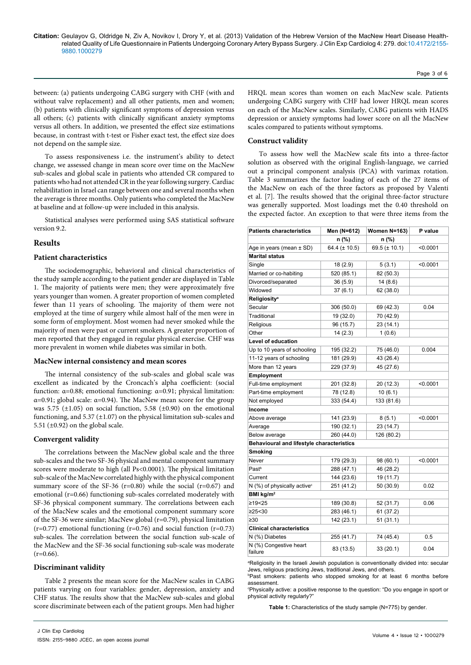between: (a) patients undergoing CABG surgery with CHF (with and without valve replacement) and all other patients, men and women; (b) patients with clinically significant symptoms of depression versus all others; (c) patients with clinically significant anxiety symptoms versus all others. In addition, we presented the effect size estimations because, in contrast with t-test or Fisher exact test, the effect size does not depend on the sample size.

To assess responsiveness i.e. the instrument's ability to detect change, we assessed change in mean score over time on the MacNew sub-scales and global scale in patients who attended CR compared to patients who had not attended CR in the year following surgery. Cardiac rehabilitation in Israel can range between one and several months when the average is three months. Only patients who completed the MacNew at baseline and at follow-up were included in this analysis.

Statistical analyses were performed using SAS statistical software version 9.2.

## **Results**

## **Patient characteristics**

The sociodemographic, behavioral and clinical characteristics of the study sample according to the patient gender are displayed in Table 1. The majority of patients were men; they were approximately five years younger than women. A greater proportion of women completed fewer than 11 years of schooling. The majority of them were not employed at the time of surgery while almost half of the men were in some form of employment. Most women had never smoked while the majority of men were past or current smokers. A greater proportion of men reported that they engaged in regular physical exercise. CHF was more prevalent in women while diabetes was similar in both.

## **MacNew internal consistency and mean scores**

The internal consistency of the sub-scales and global scale was excellent as indicated by the Croncach's alpha coefficient: (social function: α=0.88; emotional functioning: α=0.91; physical limitation: α=0.91; global scale: α=0.94). The MacNew mean score for the group was 5.75  $(\pm 1.05)$  on social function, 5.58  $(\pm 0.90)$  on the emotional functioning, and  $5.37 (\pm 1.07)$  on the physical limitation sub-scales and 5.51 ( $\pm$ 0.92) on the global scale.

## **Convergent validity**

The correlations between the MacNew global scale and the three sub-scales and the two SF-36 physical and mental component summary scores were moderate to high (all Ps<0.0001). The physical limitation sub-scale of the MacNew correlated highly with the physical component summary score of the SF-36 ( $r=0.80$ ) while the social ( $r=0.67$ ) and emotional (r=0.66) functioning sub-scales correlated moderately with SF-36 physical component summary. The correlations between each of the MacNew scales and the emotional component summary score of the SF-36 were similar; MacNew global (r=0.79), physical limitation  $(r=0.77)$  emotional functioning  $(r=0.76)$  and social function  $(r=0.73)$ sub-scales. The correlation between the social function sub-scale of the MacNew and the SF-36 social functioning sub-scale was moderate  $(r=0.66)$ .

## **Discriminant validity**

Table 2 presents the mean score for the MacNew scales in CABG patients varying on four variables: gender, depression, anxiety and CHF status. The results show that the MacNew sub-scales and global score discriminate between each of the patient groups. Men had higher

HRQL mean scores than women on each MacNew scale. Patients undergoing CABG surgery with CHF had lower HRQL mean scores on each of the MacNew scales. Similarly, CABG patients with HADS depression or anxiety symptoms had lower score on all the MacNew scales compared to patients without symptoms.

Page 3 of 6

## **Construct validity**

To assess how well the MacNew scale fits into a three-factor solution as observed with the original English-language, we carried out a principal component analysis (PCA) with varimax rotation. Table 3 summarizes the factor loading of each of the 27 items of the MacNew on each of the three factors as proposed by Valenti et al. [7]. The results showed that the original three-factor structure was generally supported. Most loadings met the 0.40 threshold on the expected factor. An exception to that were three items from the

| <b>Patients characteristics</b>           | Men (N=612)        | <b>Women N=163)</b> | P value  |  |
|-------------------------------------------|--------------------|---------------------|----------|--|
|                                           | $n$ (%)            | n (%)               |          |  |
| Age in years (mean $\pm$ SD)              | 64.4 ( $\pm$ 10.5) | 69.5 ( $\pm$ 10.1)  | < 0.0001 |  |
| <b>Marital status</b>                     |                    |                     |          |  |
| Single                                    | 18(2.9)            | 5(3.1)              | < 0.0001 |  |
| Married or co-habiting                    | 520 (85.1)         | 82 (50.3)           |          |  |
| Divorced/separated                        | 36(5.9)            | 14(8.6)             |          |  |
| Widowed                                   | 37(6.1)            | 62 (38.0)           |          |  |
| <b>Religiosity<sup>a</sup></b>            |                    |                     |          |  |
| Secular                                   | 306 (50.0)         | 69 (42.3)           | 0.04     |  |
| Traditional                               | 19 (32.0)          | 70 (42.9)           |          |  |
| Religious                                 | 96 (15.7)          | 23(14.1)            |          |  |
| Other                                     | 14(2.3)            | 1(0.6)              |          |  |
| <b>Level of education</b>                 |                    |                     |          |  |
| Up to 10 years of schooling               | 195 (32.2)         | 75 (46.0)           | 0.004    |  |
| 11-12 years of schooling                  | 181 (29.9)         | 43 (26.4)           |          |  |
| More than 12 years                        | 229 (37.9)         | 45 (27.6)           |          |  |
| Employment                                |                    |                     |          |  |
| Full-time employment                      | 201 (32.8)         | 20 (12.3)           | < 0.0001 |  |
| Part-time employment                      | 78 (12.8)          | 10(6.1)             |          |  |
| Not employed                              | 333 (54.4)         | 133 (81.6)          |          |  |
| Income                                    |                    |                     |          |  |
| Above average                             | 141 (23.9)         | 8(5.1)              | < 0.0001 |  |
| Average                                   | 190 (32.1)         | 23 (14.7)           |          |  |
| Below average                             | 260 (44.0)         | 126 (80.2)          |          |  |
| Behavioural and lifestyle characteristics |                    |                     |          |  |
| Smoking                                   |                    |                     |          |  |
| Never                                     | 179 (29.3)         | 98 (60.1)           | < 0.0001 |  |
| Past <sup>b</sup>                         | 288 (47.1)         | 46 (28.2)           |          |  |
| Current                                   | 144 (23.6)         | 19 (11.7)           |          |  |
| N (%) of physically active <sup>c</sup>   | 251 (41.2)         | 50 (30.9)           | 0.02     |  |
| BMI kg/m <sup>2</sup>                     |                    |                     |          |  |
| ≥19 < 25                                  | 189 (30.8)         | 52 (31.7)           | 0.06     |  |
| ≥25 < 30                                  | 283 (46.1)         | 61 (37.2)           |          |  |
| $\geq 30$                                 | 142 (23.1)         | 51(31.1)            |          |  |
| <b>Clinical characteristics</b>           |                    |                     |          |  |
| N (%) Diabetes                            | 255 (41.7)         | 74 (45.4)           | 0.5      |  |
| N (%) Congestive heart<br>failure         | 83 (13.5)          | 33(20.1)            | 0.04     |  |

a Religiosity in the Israeli Jewish population is conventionally divided into: secular Jews, religious practicing Jews, traditional Jews, and others.

b Past smokers: patients who stopped smoking for at least 6 months before assessment.

c Physically active: a positive response to the question: "Do you engage in sport or physical activity regularly?"

**Table 1:** Characteristics of the study sample (N=775) by gender.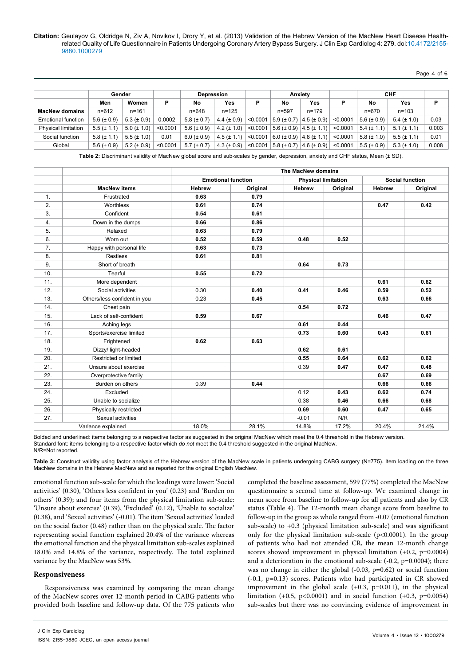Page 4 of 6

|                            | Gender            |                  |          | <b>Depression</b> |                  |          |                                   | <b>Anxiety</b>                        | <b>CHF</b> |                   |                   |       |
|----------------------------|-------------------|------------------|----------|-------------------|------------------|----------|-----------------------------------|---------------------------------------|------------|-------------------|-------------------|-------|
|                            | Men               | Women            | P        | No                | Yes              | P        | No                                | Yes                                   | Р          | No                | Yes               | P     |
| <b>MacNew domains</b>      | $n = 612$         | $n = 161$        |          | $n = 648$         | $n = 125$        |          | $n = 597$                         | $n = 179$                             |            | $n = 670$         | $n = 103$         |       |
| <b>Emotional function</b>  | 5.6 ( $\pm$ 0.9)  | $5.3 (\pm 0.9)$  | 0.0002   | $5.8 \ (\pm 0.7)$ | 4.4 ( $\pm$ 0.9) | < 0.0001 | $5.9 \ (\pm 0.7)$                 | $4.5 (\pm 0.9)$                       | < 0.0001   | 5.6 ( $\pm$ 0.9)  | $5.4 \ (\pm 1.0)$ | 0.03  |
| <b>Physical limitation</b> | $5.5 (\pm 1.1)$   | $5.0 (\pm 1.0)$  | < 0.0001 | 5.6 ( $\pm$ 0.9)  | 4.2 ( $\pm$ 1.0) | < 0.0001 |                                   | $15.6 (\pm 0.9) (4.5 (\pm 1.1))$      | < 0.0001   | $5.4 \ (\pm 1.1)$ | $5.1 (\pm 1.1)$   | 0.003 |
| Social function            | $5.8 \ (\pm 1.1)$ | $5.5 (\pm 1.0)$  | 0.01     | $6.0 \ (\pm 0.9)$ | $4.5 (\pm 1.1)$  | < 0.0001 |                                   | $6.0 \ (\pm 0.9) \ (4.8 \ (\pm 1.1))$ | < 0.0001   | $5.8 \ (\pm 1.0)$ | $5.5 (\pm 1.1)$   | 0.01  |
| Global                     | 5.6 ( $\pm$ 0.9)  | 5.2 ( $\pm$ 0.9) | < 0.0001 | $5.7 (\pm 0.7)$   | $4.3 (\pm 0.9)$  | < 0.0001 | $5.8 (\pm 0.7)$ 4.6 ( $\pm 0.9$ ) |                                       | < 0.0001   | $5.5 (\pm 0.9)$   | $5.3 (\pm 1.0)$   | 0.008 |

**Table 2:** Discriminant validity of MacNew global score and sub-scales by gender, depression, anxiety and CHF status, Mean (± SD).

|                |                              | The MacNew domains                                      |          |               |          |                        |          |  |
|----------------|------------------------------|---------------------------------------------------------|----------|---------------|----------|------------------------|----------|--|
|                |                              | <b>Emotional function</b><br><b>Physical limitation</b> |          |               |          | <b>Social function</b> |          |  |
|                | <b>MacNew items</b>          | <b>Hebrew</b>                                           | Original | <b>Hebrew</b> | Original | <b>Hebrew</b>          | Original |  |
| 1 <sub>1</sub> | Frustrated                   | 0.63                                                    | 0.79     |               |          |                        |          |  |
| 2.             | Worthless                    | 0.61                                                    | 0.74     |               |          | 0.47                   | 0.42     |  |
| 3.             | Confident                    | 0.54                                                    | 0.61     |               |          |                        |          |  |
| 4.             | Down in the dumps            | 0.66                                                    | 0.86     |               |          |                        |          |  |
| 5.             | Relaxed                      | 0.63                                                    | 0.79     |               |          |                        |          |  |
| 6.             | Worn out                     | 0.52                                                    | 0.59     | 0.48          | 0.52     |                        |          |  |
| 7.             | Happy with personal life     | 0.63                                                    | 0.73     |               |          |                        |          |  |
| 8.             | <b>Restless</b>              | 0.61                                                    | 0.81     |               |          |                        |          |  |
| 9.             | Short of breath              |                                                         |          | 0.64          | 0.73     |                        |          |  |
| 10.            | Tearful                      | 0.55                                                    | 0.72     |               |          |                        |          |  |
| 11.            | More dependent               |                                                         |          |               |          | 0.61                   | 0.62     |  |
| 12.            | Social activities            | 0.30                                                    | 0.40     | 0.41          | 0.46     | 0.59                   | 0.52     |  |
| 13.            | Others/less confident in you | 0.23                                                    | 0.45     |               |          | 0.63                   | 0.66     |  |
| 14.            | Chest pain                   |                                                         |          | 0.54          | 0.72     |                        |          |  |
| 15.            | Lack of self-confident       | 0.59                                                    | 0.67     |               |          | 0.46                   | 0.47     |  |
| 16.            | Aching legs                  |                                                         |          | 0.61          | 0.44     |                        |          |  |
| 17.            | Sports/exercise limited      |                                                         |          | 0.73          | 0.60     | 0.43                   | 0.61     |  |
| 18.            | Frightened                   | 0.62                                                    | 0.63     |               |          |                        |          |  |
| 19.            | Dizzy/ light-headed          |                                                         |          | 0.62          | 0.61     |                        |          |  |
| 20.            | Restricted or limited        |                                                         |          | 0.55          | 0.64     | 0.62                   | 0.62     |  |
| 21.            | Unsure about exercise        |                                                         |          | 0.39          | 0.47     | 0.47                   | 0.48     |  |
| 22.            | Overprotective family        |                                                         |          |               |          | 0.67                   | 0.69     |  |
| 23.            | Burden on others             | 0.39                                                    | 0.44     |               |          | 0.66                   | 0.66     |  |
| 24.            | Excluded                     |                                                         |          | 0.12          | 0.43     | 0.62                   | 0.74     |  |
| 25.            | Unable to socialize          |                                                         |          | 0.38          | 0.46     | 0.66                   | 0.68     |  |
| 26.            | Physically restricted        |                                                         |          | 0.69          | 0.60     | 0.47                   | 0.65     |  |
| 27.            | Sexual activities            |                                                         |          | $-0.01$       | N/R      |                        |          |  |
|                | Variance explained           | 18.0%                                                   | 28.1%    | 14.8%         | 17.2%    | 20.4%                  | 21.4%    |  |

Bolded and underlined: items belonging to a respective factor as suggested in the original MacNew which meet the 0.4 threshold in the Hebrew version. Standard font: items belonging to a respective factor which *do not* meet the 0.4 threshold suggested in the original MacNew. N/R=Not reported.

Table 3: Construct validity using factor analysis of the Hebrew version of the MacNew scale in patients undergoing CABG surgery (N=775). Item loading on the three MacNew domains in the Hebrew MacNew and as reported for the original English MacNew.

emotional function sub-scale for which the loadings were lower: 'Social activities' (0.30), 'Others less confident in you' (0.23) and 'Burden on others' (0.39); and four items from the physical limitation sub-scale: 'Unsure about exercise' (0.39), 'Excluded' (0.12), 'Unable to socialize' (0.38), and 'Sexual activities' (-0.01). The item 'Sexual activities' loaded on the social factor (0.48) rather than on the physical scale. The factor representing social function explained 20.4% of the variance whereas the emotional function and the physical limitation sub-scales explained 18.0% and 14.8% of the variance, respectively. The total explained variance by the MacNew was 53%.

## **Responsiveness**

Responsiveness was examined by comparing the mean change of the MacNew scores over 12-month period in CABG patients who provided both baseline and follow-up data. Of the 775 patients who completed the baseline assessment, 599 (77%) completed the MacNew questionnaire a second time at follow-up. We examined change in mean score from baseline to follow-up for all patients and also by CR status (Table 4). The 12-month mean change score from baseline to follow-up in the group as whole ranged from -0.07 (emotional function sub-scale) to +0.3 (physical limitation sub-scale) and was significant only for the physical limitation sub-scale  $(p<0.0001)$ . In the group of patients who had not attended CR, the mean 12-month change scores showed improvement in physical limitation (+0.2, p=0.0004) and a deterioration in the emotional sub-scale (-0.2, p=0.0004); there was no change in either the global (-0.03, p=0.62) or social function (-0.1, p=0.13) scores. Patients who had participated in CR showed improvement in the global scale  $(+0.3, p=0.011)$ , in the physical limitation  $(+0.5, p<0.0001)$  and in social function  $(+0.3, p=0.0054)$ sub-scales but there was no convincing evidence of improvement in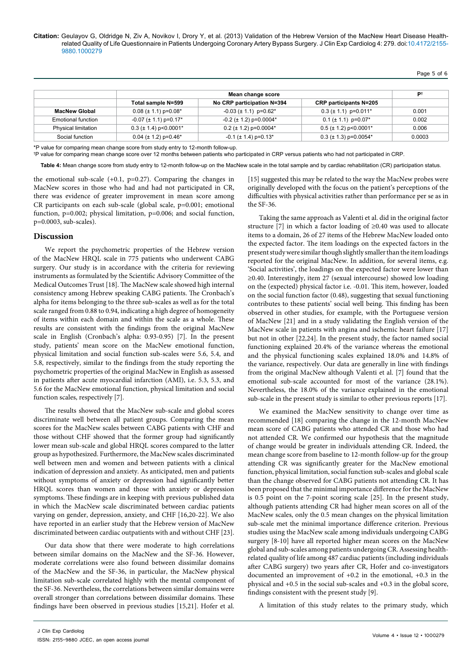| ه،<br>m<br>н |  | m | ۰, |
|--------------|--|---|----|
|--------------|--|---|----|

|                            |                                         | P <sup>t</sup>                        |                                |        |
|----------------------------|-----------------------------------------|---------------------------------------|--------------------------------|--------|
|                            | Total sample N=599                      | No CRP participation N=394            | <b>CRP</b> participants N=205  |        |
| <b>MacNew Global</b>       | $0.08 (\pm 1.1)$ p=0.08*                | $-0.03 \ (\pm 1.1) \ \text{p=0.62}^*$ | $0.3 (\pm 1.1)$ p=0.011*       | 0.001  |
| Emotional function         | $-0.07$ ( $\pm$ 1.1) p=0.17*            | $-0.2$ ( $\pm$ 1.2) p=0.0004*         | $0.1 (\pm 1.1)$ p=0.07*        | 0.002  |
| <b>Physical limitation</b> | $0.3$ ( $\pm$ 1.4) p < 0.0001*          | $0.2$ ( $\pm$ 1.2) p=0.0004*          | $0.5$ ( $\pm$ 1.2) p < 0.0001* | 0.006  |
| Social function            | $0.04$ ( $\pm$ 1.2) p=0.46 <sup>*</sup> | $-0.1$ ( $\pm$ 1.4) p=0.13*           | $0.3$ ( $\pm$ 1.3) p=0.0054*   | 0.0003 |

\*P value for comparing mean change score from study entry to 12-month follow-up.

† P value for comparing mean change score over 12 months between patients who participated in CRP versus patients who had not participated in CRP.

**Table 4:** Mean change score from study entry to 12-month follow-up on the MacNew scale in the total sample and by cardiac rehabilitation (CR) participation status.

the emotional sub-scale  $(+0.1, p=0.27)$ . Comparing the changes in MacNew scores in those who had and had not participated in CR, there was evidence of greater improvement in mean score among CR participants on each sub-scale (global scale, p=0.001; emotional function, p=0.002; physical limitation, p=0.006; and social function, p=0.0003, sub-scales).

# **Discussion**

We report the psychometric properties of the Hebrew version of the MacNew HRQL scale in 775 patients who underwent CABG surgery. Our study is in accordance with the criteria for reviewing instruments as formulated by the Scientific Advisory Committee of the Medical Outcomes Trust [18]. The MacNew scale showed high internal consistency among Hebrew speaking CABG patients. The Cronbach's alpha for items belonging to the three sub-scales as well as for the total scale ranged from 0.88 to 0.94, indicating a high degree of homogeneity of items within each domain and within the scale as a whole. These results are consistent with the findings from the original MacNew scale in English (Cronbach's alpha: 0.93-0.95) [7]. In the present study, patients' mean score on the MacNew emotional function, physical limitation and social function sub-scales were 5.6, 5.4, and 5.8, respectively, similar to the findings from the study reporting the psychometric properties of the original MacNew in English as assessed in patients after acute myocardial infarction (AMI), i.e. 5.3, 5.3, and 5.6 for the MacNew emotional function, physical limitation and social function scales, respectively [7].

The results showed that the MacNew sub-scale and global scores discriminate well between all patient groups. Comparing the mean scores for the MacNew scales between CABG patients with CHF and those without CHF showed that the former group had significantly lower mean sub-scale and global HRQL scores compared to the latter group as hypothesized. Furthermore, the MacNew scales discriminated well between men and women and between patients with a clinical indication of depression and anxiety. As anticipated, men and patients without symptoms of anxiety or depression had significantly better HRQL scores than women and those with anxiety or depression symptoms. These findings are in keeping with previous published data in which the MacNew scale discriminated between cardiac patients varying on gender, depression, anxiety, and CHF [16,20-22]. We also have reported in an earlier study that the Hebrew version of MacNew discriminated between cardiac outpatients with and without CHF [23].

Our data show that there were moderate to high correlations between similar domains on the MacNew and the SF-36. However, moderate correlations were also found between dissimilar domains of the MacNew and the SF-36, in particular, the MacNew physical limitation sub-scale correlated highly with the mental component of the SF-36. Nevertheless, the correlations between similar domains were overall stronger than correlations between dissimilar domains. These findings have been observed in previous studies [15,21]. Hofer et al.

[15] suggested this may be related to the way the MacNew probes were originally developed with the focus on the patient's perceptions of the difficulties with physical activities rather than performance per se as in the SF-36.

Taking the same approach as Valenti et al. did in the original factor structure [7] in which a factor loading of ≥0.40 was used to allocate items to a domain, 26 of 27 items of the Hebrew MacNew loaded onto the expected factor. The item loadings on the expected factors in the present study were similar though slightly smaller than the item loadings reported for the original MacNew. In addition, for several items, e.g. 'Social activities', the loadings on the expected factor were lower than ≥0.40. Interestingly, item 27 (sexual intercourse) showed low loading on the (expected) physical factor i.e. -0.01. This item, however, loaded on the social function factor (0.48), suggesting that sexual functioning contributes to these patients' social well being. This finding has been observed in other studies, for example, with the Portuguese version of MacNew [21] and in a study validating the English version of the MacNew scale in patients with angina and ischemic heart failure [17] but not in other [22,24]. In the present study, the factor named social functioning explained 20.4% of the variance whereas the emotional and the physical functioning scales explained 18.0% and 14.8% of the variance, respectively. Our data are generally in line with findings from the original MacNew although Valenti et al. [7] found that the emotional sub-scale accounted for most of the variance (28.1%). Nevertheless, the 18.0% of the variance explained in the emotional sub-scale in the present study is similar to other previous reports [17].

We examined the MacNew sensitivity to change over time as recommended [18] comparing the change in the 12-month MacNew mean score of CABG patients who attended CR and those who had not attended CR. We confirmed our hypothesis that the magnitude of change would be greater in individuals attending CR. Indeed, the mean change score from baseline to 12-month follow-up for the group attending CR was significantly greater for the MacNew emotional function, physical limitation, social function sub-scales and global scale than the change observed for CABG patients not attending CR. It has been proposed that the minimal importance difference for the MacNew is 0.5 point on the 7-point scoring scale [25]. In the present study, although patients attending CR had higher mean scores on all of the MacNew scales, only the 0.5 mean changes on the physical limitation sub-scale met the minimal importance difference criterion. Previous studies using the MacNew scale among individuals undergoing CABG surgery [8-10] have all reported higher mean scores on the MacNew global and sub-scales among patients undergoing CR. Assessing healthrelated quality of life among 487 cardiac patients (including individuals after CABG surgery) two years after CR, Hofer and co-investigators documented an improvement of +0.2 in the emotional, +0.3 in the physical and +0.5 in the social sub-scales and +0.3 in the global score, findings consistent with the present study [9].

A limitation of this study relates to the primary study, which